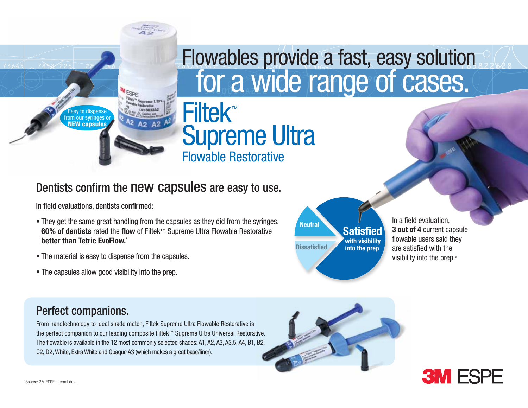

# for a wide range of cases. Flowables provide a fast, easy solution

### Dentists confirm the new capsules are easy to use.

Filtek™

Supreme Ultra

Flowable Restorative

In field evaluations, dentists confirmed:

- They get the same great handling from the capsules as they did from the syringes. **60% of dentists** rated the **flow** of Filtek™ Supreme Ultra Flowable Restorative **better than Tetric EvoFlow.**\*
- The material is easy to dispense from the capsules.
- The capsules allow good visibility into the prep.

**Satisfied Dissatisfied Neutral with visibility into the prep**

In a field evaluation, **3 out of 4** current capsule flowable users said they are satisfied with the visibility into the prep.\*

## Perfect companions.

From nanotechnology to ideal shade match, Filtek Supreme Ultra Flowable Restorative is the perfect companion to our leading composite Filtek™ Supreme Ultra Universal Restorative. The flowable is available in the 12 most commonly selected shades: A1, A2, A3, A3.5, A4, B1, B2, C2, D2, White, Extra White and Opaque A3 (which makes a great base/liner).